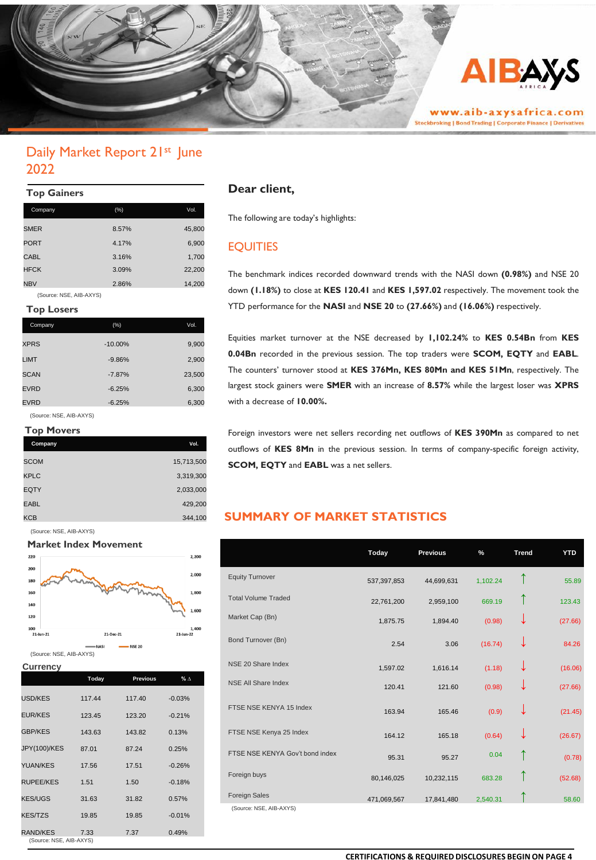

# Daily Market Report 21<sup>st</sup> June 2022

### **Top Gainers**

| Company     | (%)   | Vol.   |
|-------------|-------|--------|
| <b>SMER</b> | 8.57% | 45,800 |
| <b>PORT</b> | 4.17% | 6,900  |
| <b>CABL</b> | 3.16% | 1,700  |
| <b>HFCK</b> | 3.09% | 22,200 |
| <b>NBV</b>  | 2.86% | 14,200 |
|             |       |        |

(Source: NSE, AIB-AXYS)

### **Top Losers**

| Company     | (% )      | Vol.   |
|-------------|-----------|--------|
| <b>XPRS</b> | $-10.00%$ | 9,900  |
| LIMT        | $-9.86%$  | 2,900  |
| <b>SCAN</b> | $-7.87%$  | 23,500 |
| <b>EVRD</b> | $-6.25%$  | 6,300  |
| <b>EVRD</b> | $-6.25%$  | 6,300  |

(Source: NSE, AIB-AXYS)

### **Top Movers**

| Company     | Vol.       |
|-------------|------------|
| <b>SCOM</b> | 15,713,500 |
| <b>KPLC</b> | 3,319,300  |
| <b>EQTY</b> | 2,033,000  |
| <b>EABL</b> | 429,200    |
| KCB         | 344,100    |

(Source: NSE, AIB-AXYS)



#### **Currency**

| Today  | <b>Previous</b>         | % $\Delta$ |
|--------|-------------------------|------------|
| 117.44 | 117.40                  | $-0.03%$   |
| 123.45 | 123.20                  | $-0.21%$   |
| 143.63 | 143.82                  | 0.13%      |
| 87.01  | 87.24                   | 0.25%      |
| 17.56  | 17.51                   | $-0.26%$   |
| 1.51   | 1.50                    | $-0.18%$   |
| 31.63  | 31.82                   | 0.57%      |
| 19.85  | 19.85                   | $-0.01%$   |
| 7.33   | 7.37                    | 0.49%      |
|        | (Source: NSE, AIB-AXYS) |            |

### **Dear client,**

The following are today's highlights:

## EQUITIES

The benchmark indices recorded downward trends with the NASI down **(0.98%)** and NSE 20 down **(1.18%)** to close at **KES 120.41** and **KES 1,597.02** respectively. The movement took the YTD performance for the **NASI** and **NSE 20** to **(27.66%)** and **(16.06%)** respectively.

Equities market turnover at the NSE decreased by **1,102.24%** to **KES 0.54Bn** from **KES 0.04Bn** recorded in the previous session. The top traders were **SCOM, EQTY** and **EABL**. The counters' turnover stood at **KES 376Mn, KES 80Mn and KES 51Mn**, respectively. The largest stock gainers were **SMER** with an increase of **8.57%** while the largest loser was **XPRS** with a decrease of **10.00%.**

Foreign investors were net sellers recording net outflows of **KES 390Mn** as compared to net outflows of **KES 8Mn** in the previous session. In terms of company-specific foreign activity, **SCOM, EQTY** and **EABL** was a net sellers.

## **SUMMARY OF MARKET STATISTICS**

|                                 | Today       | <b>Previous</b> | %        | <b>Trend</b> | <b>YTD</b> |
|---------------------------------|-------------|-----------------|----------|--------------|------------|
| <b>Equity Turnover</b>          | 537,397,853 | 44,699,631      | 1,102.24 | ↑            | 55.89      |
| <b>Total Volume Traded</b>      | 22,761,200  | 2,959,100       | 669.19   | ↑            | 123.43     |
| Market Cap (Bn)                 | 1,875.75    | 1,894.40        | (0.98)   | ↓            | (27.66)    |
| Bond Turnover (Bn)              | 2.54        | 3.06            | (16.74)  | ↓            | 84.26      |
| NSE 20 Share Index              | 1,597.02    | 1,616.14        | (1.18)   | ↓            | (16.06)    |
| <b>NSE All Share Index</b>      | 120.41      | 121.60          | (0.98)   | ↓            | (27.66)    |
| FTSE NSE KENYA 15 Index         | 163.94      | 165.46          | (0.9)    | ↓            | (21.45)    |
| FTSE NSE Kenya 25 Index         | 164.12      | 165.18          | (0.64)   | ↓            | (26.67)    |
| FTSE NSE KENYA Gov't bond index | 95.31       | 95.27           | 0.04     | ↑            | (0.78)     |
| Foreign buys                    | 80,146,025  | 10,232,115      | 683.28   |              | (52.68)    |
| <b>Foreign Sales</b>            | 471,069,567 | 17,841,480      | 2,540.31 |              | 58.60      |
| (Source: NSE, AIB-AXYS)         |             |                 |          |              |            |

#### **CERTIFICATIONS & REQUIRED DISCLOSURES BEGIN ON PAGE 4**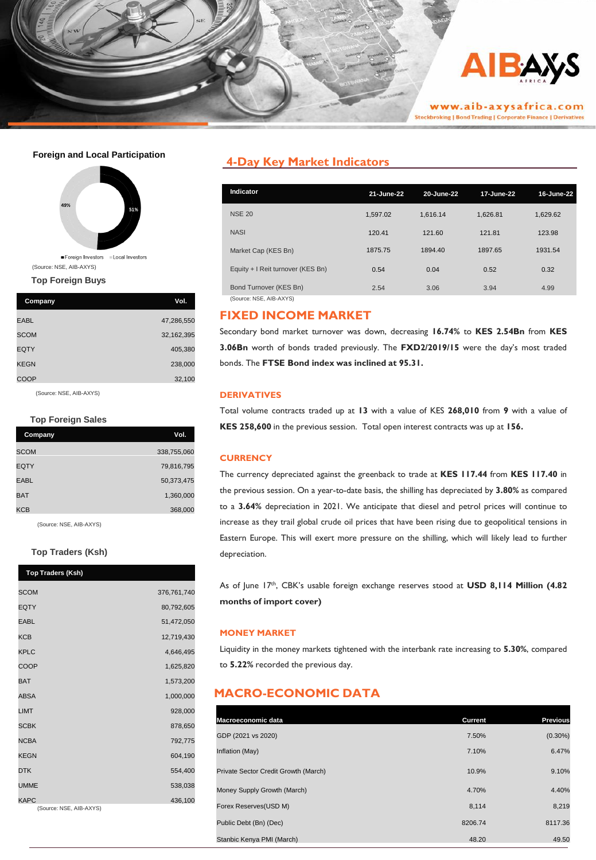

#### **Foreign and Local Participation**



**Top Foreign Buys**

| Company     | Vol.       |
|-------------|------------|
| <b>EABL</b> | 47,286,550 |
| <b>SCOM</b> | 32,162,395 |
| <b>EQTY</b> | 405,380    |
| <b>KEGN</b> | 238,000    |
| COOP        | 32,100     |

(Source: NSE, AIB-AXYS)

#### **Top Foreign Sales**

| Company     | Vol.        |
|-------------|-------------|
| <b>SCOM</b> | 338,755,060 |
| <b>EQTY</b> | 79,816,795  |
| <b>EABL</b> | 50,373,475  |
| <b>BAT</b>  | 1,360,000   |
| KCB         | 368,000     |

(Source: NSE, AIB-AXYS)

#### **Top Traders (Ksh)**

| <b>Top Traders (Ksh)</b>               |             |
|----------------------------------------|-------------|
| <b>SCOM</b>                            | 376,761,740 |
| <b>EQTY</b>                            | 80,792,605  |
| <b>EABL</b>                            | 51,472,050  |
| <b>KCB</b>                             | 12,719,430  |
| <b>KPLC</b>                            | 4,646,495   |
| COOP                                   | 1,625,820   |
| <b>BAT</b>                             | 1,573,200   |
| <b>ABSA</b>                            | 1,000,000   |
| <b>LIMT</b>                            | 928,000     |
| <b>SCBK</b>                            | 878,650     |
| <b>NCBA</b>                            | 792,775     |
| <b>KEGN</b>                            | 604,190     |
| <b>DTK</b>                             | 554,400     |
| <b>UMME</b>                            | 538,038     |
| <b>KAPC</b><br>(Source: NSE, AIB-AXYS) | 436,100     |
|                                        |             |

## **4-Day Key Market Indicators**

| 21-June-22 | 20-June-22 | 17-June-22 | 16-June-22 |
|------------|------------|------------|------------|
| 1.597.02   | 1.616.14   | 1.626.81   | 1,629.62   |
| 120.41     | 121.60     | 121.81     | 123.98     |
| 1875.75    | 1894.40    | 1897.65    | 1931.54    |
| 0.54       | 0.04       | 0.52       | 0.32       |
| 2.54       | 3.06       | 3.94       | 4.99       |
|            |            |            |            |

### **FIXED INCOME MARKET**

Secondary bond market turnover was down, decreasing **16.74%** to **KES 2.54Bn** from **KES 3.06Bn** worth of bonds traded previously. The **FXD2/2019/15** were the day's most traded bonds. The **FTSE Bond index was inclined at 95.31.**

#### **DERIVATIVES**

Total volume contracts traded up at **13** with a value of KES **268,010** from **9** with a value of **KES 258,600** in the previous session. Total open interest contracts was up at **156.**

### **CURRENCY**

The currency depreciated against the greenback to trade at **KES 117.44** from **KES 117.40** in the previous session. On a year-to-date basis, the shilling has depreciated by **3.80%** as compared to a **3.64%** depreciation in 2021. We anticipate that diesel and petrol prices will continue to increase as they trail global crude oil prices that have been rising due to geopolitical tensions in Eastern Europe. This will exert more pressure on the shilling, which will likely lead to further depreciation.

As of June 17th , CBK's usable foreign exchange reserves stood at **USD 8,114 Million (4.82 months of import cover)**

#### **MONEY MARKET**

Liquidity in the money markets tightened with the interbank rate increasing to **5.30%**, compared to **5.22%** recorded the previous day.

## **MACRO-ECONOMIC DATA**

| Macroeconomic data                   | Current | <b>Previous</b> |
|--------------------------------------|---------|-----------------|
| GDP (2021 vs 2020)                   | 7.50%   | $(0.30\%)$      |
| Inflation (May)                      | 7.10%   | 6.47%           |
| Private Sector Credit Growth (March) | 10.9%   | 9.10%           |
| Money Supply Growth (March)          | 4.70%   | 4.40%           |
| Forex Reserves(USD M)                | 8,114   | 8,219           |
| Public Debt (Bn) (Dec)               | 8206.74 | 8117.36         |
| Stanbic Kenya PMI (March)            | 48.20   | 49.50           |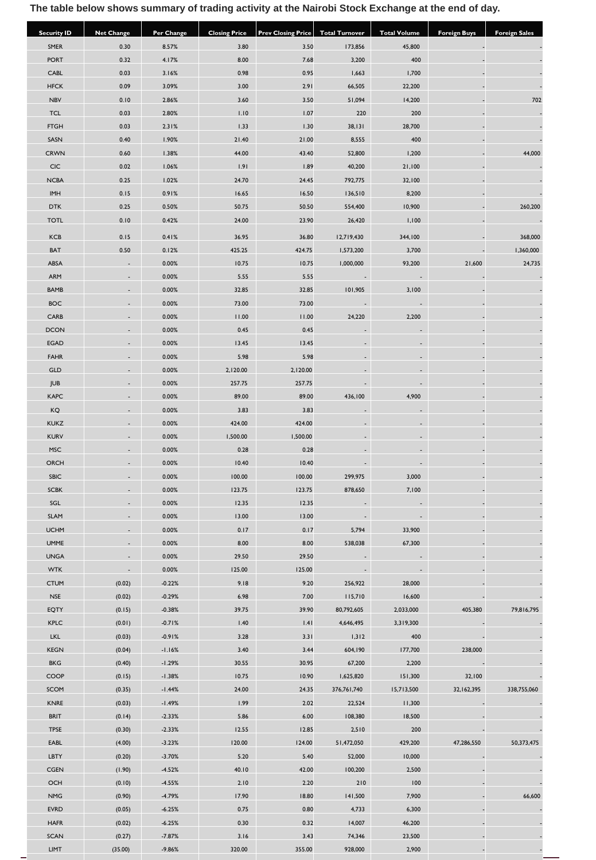# **The table below shows summary of trading activity at the Nairobi Stock Exchange at the end of day.**

| <b>Security ID</b> | <b>Net Change</b> | <b>Per Change</b> | <b>Closing Price</b> | <b>Prev Closing Price</b> | <b>Total Turnover</b> | <b>Total Volume</b> | <b>Foreign Buys</b> | <b>Foreign Sales</b> |
|--------------------|-------------------|-------------------|----------------------|---------------------------|-----------------------|---------------------|---------------------|----------------------|
| SMER               | 0.30              | 8.57%             | 3.80                 | 3.50                      | 173,856               | 45,800              |                     |                      |
| <b>PORT</b>        | 0.32              | 4.17%             | 8.00                 | 7.68                      | 3,200                 | 400                 |                     |                      |
| CABL               | 0.03              | 3.16%             | 0.98                 | 0.95                      | 1,663                 | 1,700               |                     |                      |
| <b>HFCK</b>        | 0.09              | 3.09%             | 3.00                 | 2.91                      | 66,505                | 22,200              |                     |                      |
| <b>NBV</b>         | 0.10              | 2.86%             | 3.60                 | 3.50                      | 51,094                | 14,200              |                     | 702                  |
| <b>TCL</b>         | 0.03              | 2.80%             | 1.10                 | 1.07                      | 220                   | 200                 |                     |                      |
| <b>FTGH</b>        | 0.03              | 2.31%             | 1.33                 | 1.30                      | 38,131                | 28,700              |                     |                      |
| SASN               | 0.40              | 1.90%             | 21.40                | 21.00                     | 8,555                 | 400                 |                     |                      |
| <b>CRWN</b>        | 0.60              | 1.38%             | 44.00                | 43.40                     | 52,800                | 1,200               |                     | 44,000               |
| <b>CIC</b>         | 0.02              | 1.06%             | 1.91                 | 1.89                      | 40,200                | 21,100              |                     |                      |
| <b>NCBA</b>        | 0.25              | 1.02%             | 24.70                | 24.45                     | 792,775               | 32,100              |                     |                      |
| <b>IMH</b>         | 0.15              | 0.91%             | 16.65                | 16.50                     | 136,510               | 8,200               |                     |                      |
| <b>DTK</b>         | 0.25              | 0.50%             | 50.75                | 50.50                     | 554,400               | 10,900              |                     | 260,200              |
| <b>TOTL</b>        | 0.10              | 0.42%             | 24.00                | 23.90                     | 26,420                | 1,100               |                     |                      |
| KCB                | 0.15              | 0.41%             | 36.95                | 36.80                     | 12,719,430            | 344,100             |                     | 368,000              |
| BAT                | 0.50              | 0.12%             | 425.25               | 424.75                    | 1,573,200             | 3,700               |                     | 1,360,000            |
| ABSA               |                   | 0.00%             | 10.75                | 10.75                     | 1,000,000             | 93,200              | 21,600              | 24,735               |
| ARM                |                   | 0.00%             | 5.55                 | 5.55                      |                       |                     |                     |                      |
| <b>BAMB</b>        |                   | 0.00%             | 32.85                | 32.85                     | 101,905               | 3,100               |                     |                      |
| <b>BOC</b>         |                   | 0.00%             | 73.00                | 73.00                     |                       |                     |                     |                      |
| CARB               |                   | 0.00%             | 11.00                | 11.00                     | 24,220                | 2,200               |                     |                      |
| <b>DCON</b>        |                   | 0.00%             | 0.45                 | 0.45                      |                       |                     |                     |                      |
| EGAD               |                   | 0.00%             | 13.45                | 13.45                     |                       |                     |                     |                      |
| <b>FAHR</b>        |                   | 0.00%             | 5.98                 | 5.98                      |                       |                     |                     |                      |
| GLD                |                   | 0.00%             | 2,120.00             | 2,120.00                  |                       |                     |                     |                      |
| JUB                |                   | 0.00%             | 257.75               | 257.75                    |                       |                     |                     |                      |
| <b>KAPC</b>        |                   | 0.00%             | 89.00                | 89.00                     | 436,100               | 4,900               |                     |                      |
| KQ                 |                   | 0.00%             | 3.83                 | 3.83                      |                       |                     |                     |                      |
| <b>KUKZ</b>        |                   | 0.00%             | 424.00               | 424.00                    |                       |                     |                     |                      |
| <b>KURV</b>        |                   | 0.00%             | 1,500.00             | 1,500.00                  |                       |                     |                     |                      |
| <b>MSC</b>         |                   | 0.00%             | 0.28                 | 0.28                      |                       |                     |                     |                      |
| ORCH               |                   | 0.00%             | 10.40                | 10.40                     |                       |                     |                     |                      |
| <b>SBIC</b>        |                   | 0.00%             | 100.00               | 100.00                    | 299,975               | 3,000               |                     |                      |
| <b>SCBK</b>        |                   | 0.00%             | 123.75               | 123.75                    | 878,650               | 7,100               |                     |                      |
| SGL                |                   | 0.00%             | 12.35                | 12.35                     |                       |                     |                     |                      |
| SLAM               |                   | $0.00\%$          | 13.00                | 13.00                     |                       |                     |                     |                      |
| <b>UCHM</b>        |                   | 0.00%             | 0.17                 | 0.17                      | 5,794                 | 33,900              |                     |                      |
| <b>UMME</b>        |                   | 0.00%             | 8.00                 | 8.00                      | 538,038               | 67,300              |                     |                      |
| <b>UNGA</b>        |                   | 0.00%             | 29.50                | 29.50                     |                       |                     |                     |                      |
| <b>WTK</b>         |                   | 0.00%             | 125.00               | 125.00                    |                       |                     |                     |                      |
| <b>CTUM</b>        | (0.02)            | $-0.22%$          | 9.18                 | 9.20                      | 256,922               | 28,000              |                     |                      |
| <b>NSE</b>         | (0.02)            | $-0.29%$          | 6.98                 | 7.00                      | 115,710               | 16,600              |                     |                      |
| EQTY               | (0.15)            | $-0.38%$          | 39.75                | 39.90                     | 80,792,605            | 2,033,000           | 405,380             | 79,816,795           |
| <b>KPLC</b>        | (0.01)            | $-0.71%$          | 1.40                 | 1.41                      | 4,646,495             | 3,319,300           |                     |                      |
| <b>LKL</b>         | (0.03)            | $-0.91%$          | 3.28                 | 3.31                      | 1,312                 | 400                 |                     |                      |
| <b>KEGN</b>        | (0.04)            | $-1.16%$          | 3.40                 | 3.44                      | 604,190               | 177,700             | 238,000             |                      |
| <b>BKG</b>         | (0.40)            | $-1.29%$          | 30.55                | 30.95                     | 67,200                | 2,200               |                     |                      |
| COOP               | (0.15)            | $-1.38%$          | 10.75                | 10.90                     | 1,625,820             | 151,300             | 32,100              |                      |
| SCOM               | (0.35)            | $-1.44%$          | 24.00                | 24.35                     | 376,761,740           | 15,713,500          | 32,162,395          | 338,755,060          |
| KNRE               | (0.03)            | $-1.49%$          | 1.99                 | 2.02                      | 22,524                | 11,300              |                     |                      |
| <b>BRIT</b>        | (0.14)            | $-2.33%$          | 5.86                 | 6.00                      | 108,380               | 18,500              |                     |                      |
| <b>TPSE</b>        | (0.30)            | $-2.33%$          | 12.55                | 12.85                     | 2,510                 | 200                 |                     |                      |
| EABL               | (4.00)            | $-3.23%$          | 120.00               | 124.00                    | 51,472,050            | 429,200             | 47,286,550          | 50,373,475           |
| LBTY               | (0.20)            | $-3.70%$          | 5.20                 | 5.40                      | 52,000                | 10,000              |                     |                      |
| CGEN               | (1.90)            | $-4.52%$          | 40.10                | 42.00                     | 100,200               | 2,500               |                     |                      |
| OCH                | (0.10)            | $-4.55%$          | 2.10                 | 2.20                      | 210                   | 100                 |                     |                      |
| <b>NMG</b>         | (0.90)            | $-4.79%$          | 17.90                | 18.80                     | 141,500               | 7,900               |                     | 66,600               |
| <b>EVRD</b>        | (0.05)            | $-6.25%$          | 0.75                 | 0.80                      | 4,733                 | 6,300               |                     |                      |
| <b>HAFR</b>        | (0.02)            | $-6.25%$          | 0.30                 | 0.32                      | 14,007                | 46,200              |                     |                      |
| SCAN               | (0.27)            | $-7.87%$          | 3.16                 | 3.43                      | 74,346                | 23,500              |                     |                      |
| LIMT               | (35.00)           | $-9.86%$          | 320.00               | 355.00                    | 928,000               | 2,900               |                     |                      |